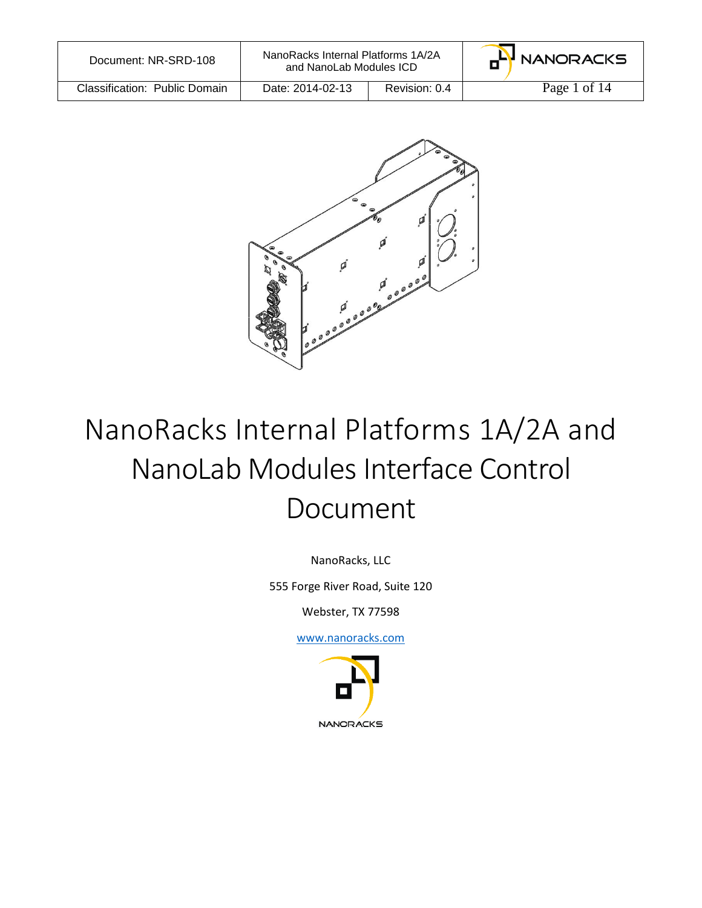| Document: NR-SRD-108          | NanoRacks Internal Platforms 1A/2A<br>and NanoLab Modules ICD |               | HH NANORACKS |
|-------------------------------|---------------------------------------------------------------|---------------|--------------|
| Classification: Public Domain | Date: 2014-02-13                                              | Revision: 0.4 | Page 1 of 14 |



# NanoRacks Internal Platforms 1A/2A and NanoLab Modules Interface Control Document

NanoRacks, LLC

555 Forge River Road, Suite 120

Webster, TX 77598

[www.nanoracks.com](http://www.nanoracks.com/)

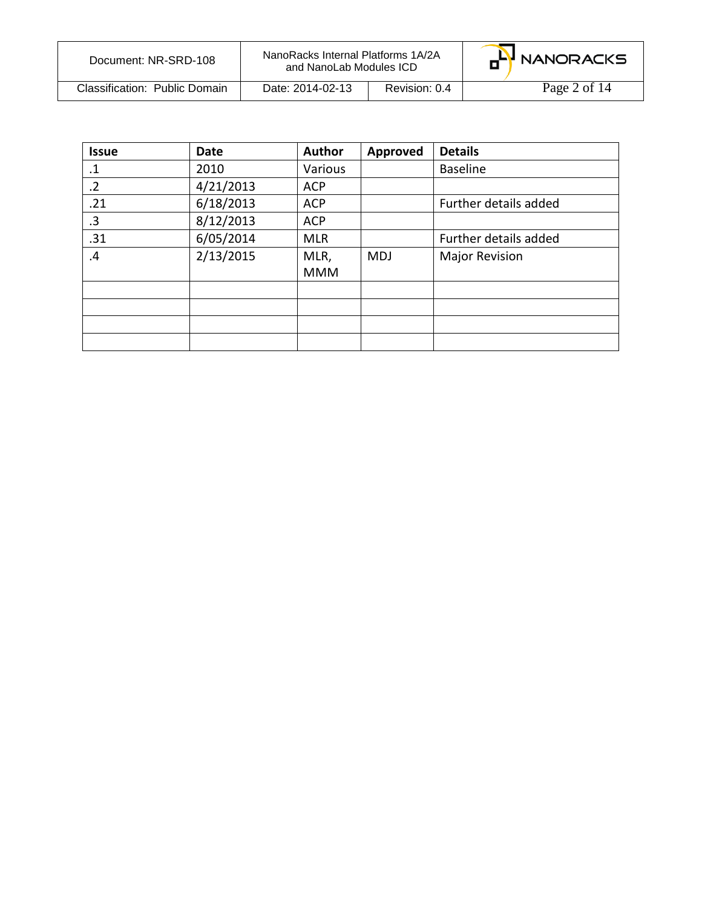| Document: NR-SRD-108          | NanoRacks Internal Platforms 1A/2A<br>and NanoLab Modules ICD |               | HH NANORACKS |
|-------------------------------|---------------------------------------------------------------|---------------|--------------|
| Classification: Public Domain | Date: 2014-02-13                                              | Revision: 0.4 | Page 2 of 14 |

| <b>Issue</b> | <b>Date</b> | Author     | Approved   | <b>Details</b>        |
|--------------|-------------|------------|------------|-----------------------|
| $\cdot$      | 2010        | Various    |            | <b>Baseline</b>       |
| $\cdot$ .2   | 4/21/2013   | <b>ACP</b> |            |                       |
| .21          | 6/18/2013   | <b>ACP</b> |            | Further details added |
| .3           | 8/12/2013   | <b>ACP</b> |            |                       |
| .31          | 6/05/2014   | <b>MLR</b> |            | Further details added |
| .4           | 2/13/2015   | MLR,       | <b>MDJ</b> | <b>Major Revision</b> |
|              |             | <b>MMM</b> |            |                       |
|              |             |            |            |                       |
|              |             |            |            |                       |
|              |             |            |            |                       |
|              |             |            |            |                       |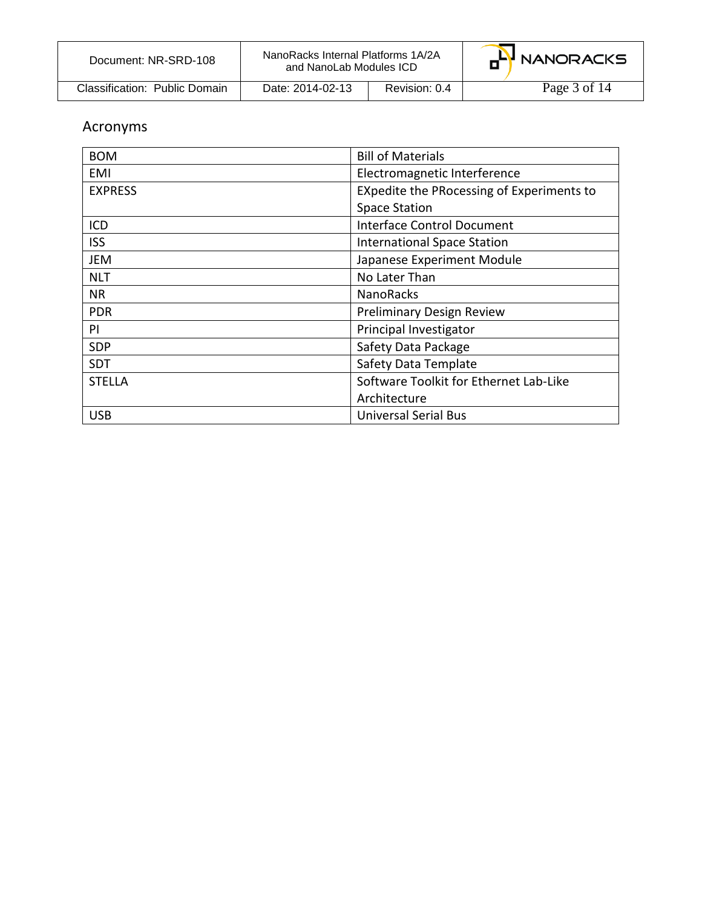| Document: NR-SRD-108          | NanoRacks Internal Platforms 1A/2A<br>and NanoLab Modules ICD |               | m <sup>L</sup> ' NANORACKS |
|-------------------------------|---------------------------------------------------------------|---------------|----------------------------|
| Classification: Public Domain | Date: 2014-02-13                                              | Revision: 0.4 | Page 3 of 14               |

## Acronyms

| <b>BOM</b>     | <b>Bill of Materials</b>                  |  |
|----------------|-------------------------------------------|--|
| EMI            | Electromagnetic Interference              |  |
| <b>EXPRESS</b> | EXpedite the PRocessing of Experiments to |  |
|                | <b>Space Station</b>                      |  |
| ICD            | Interface Control Document                |  |
| <b>ISS</b>     | <b>International Space Station</b>        |  |
| <b>JEM</b>     | Japanese Experiment Module                |  |
| <b>NLT</b>     | No Later Than                             |  |
| <b>NR</b>      | <b>NanoRacks</b>                          |  |
| <b>PDR</b>     | <b>Preliminary Design Review</b>          |  |
| PI             | Principal Investigator                    |  |
| SDP            | Safety Data Package                       |  |
| <b>SDT</b>     | Safety Data Template                      |  |
| <b>STELLA</b>  | Software Toolkit for Ethernet Lab-Like    |  |
|                | Architecture                              |  |
| <b>USB</b>     | <b>Universal Serial Bus</b>               |  |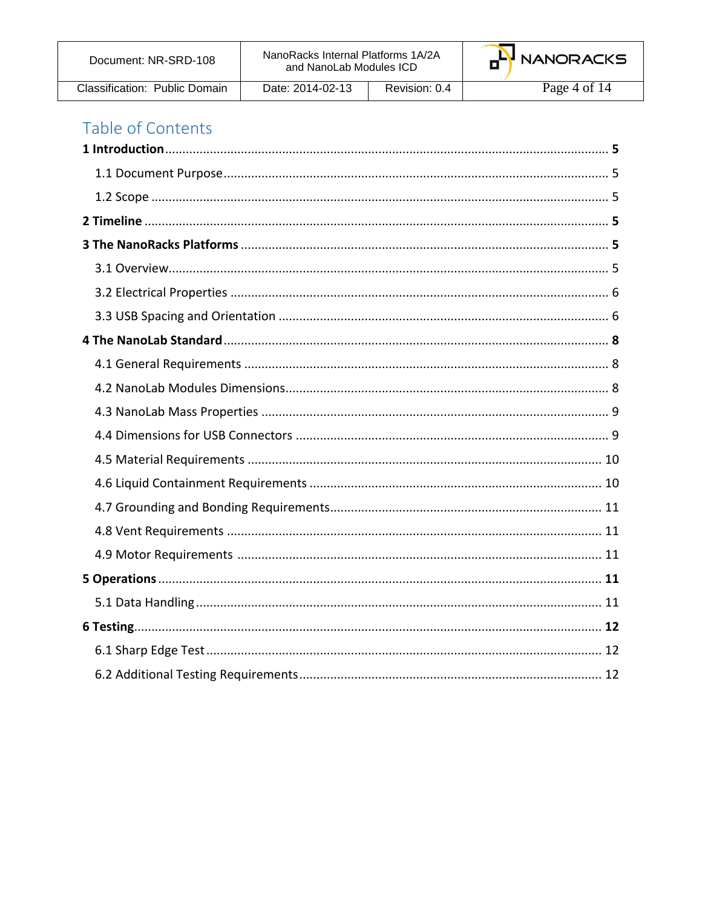| Document: NR-SRD-108          | NanoRacks Internal Platforms 1A/2A<br>and NanoLab Modules ICD |               | G <sup>LY</sup> NANORACKS |
|-------------------------------|---------------------------------------------------------------|---------------|---------------------------|
| Classification: Public Domain | Date: 2014-02-13                                              | Revision: 0.4 | Page 4 of 14              |

# Table of Contents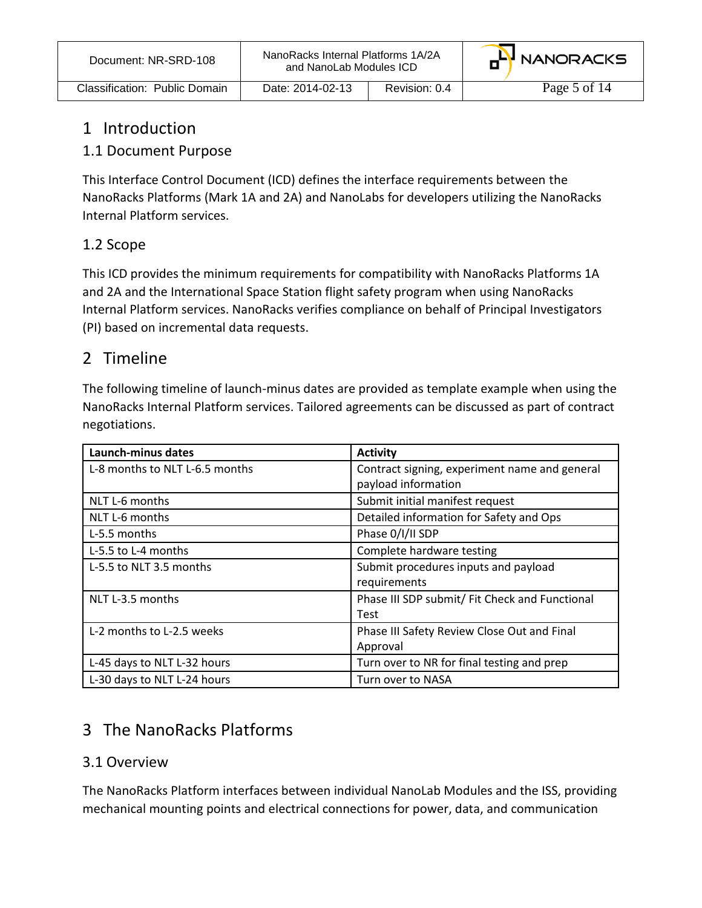| Document: NR-SRD-108          | NanoRacks Internal Platforms 1A/2A<br>and NanoLab Modules ICD |               | G <sup>LY</sup> NANORACKS |
|-------------------------------|---------------------------------------------------------------|---------------|---------------------------|
| Classification: Public Domain | Date: 2014-02-13                                              | Revision: 0.4 | Page 5 of 14              |

## 1 Introduction

#### 1.1 Document Purpose

This Interface Control Document (ICD) defines the interface requirements between the NanoRacks Platforms (Mark 1A and 2A) and NanoLabs for developers utilizing the NanoRacks Internal Platform services.

#### 1.2 Scope

This ICD provides the minimum requirements for compatibility with NanoRacks Platforms 1A and 2A and the International Space Station flight safety program when using NanoRacks Internal Platform services. NanoRacks verifies compliance on behalf of Principal Investigators (PI) based on incremental data requests.

## 2 Timeline

The following timeline of launch-minus dates are provided as template example when using the NanoRacks Internal Platform services. Tailored agreements can be discussed as part of contract negotiations.

| Launch-minus dates             | <b>Activity</b>                                |
|--------------------------------|------------------------------------------------|
| L-8 months to NLT L-6.5 months | Contract signing, experiment name and general  |
|                                | payload information                            |
| NLT L-6 months                 | Submit initial manifest request                |
| NLT L-6 months                 | Detailed information for Safety and Ops        |
| L-5.5 months                   | Phase 0/I/II SDP                               |
| L-5.5 to L-4 months            | Complete hardware testing                      |
| L-5.5 to NLT 3.5 months        | Submit procedures inputs and payload           |
|                                | requirements                                   |
| NLT L-3.5 months               | Phase III SDP submit/ Fit Check and Functional |
|                                | Test                                           |
| L-2 months to L-2.5 weeks      | Phase III Safety Review Close Out and Final    |
|                                | Approval                                       |
| L-45 days to NLT L-32 hours    | Turn over to NR for final testing and prep     |
| L-30 days to NLT L-24 hours    | Turn over to NASA                              |

## 3 The NanoRacks Platforms

#### 3.1 Overview

The NanoRacks Platform interfaces between individual NanoLab Modules and the ISS, providing mechanical mounting points and electrical connections for power, data, and communication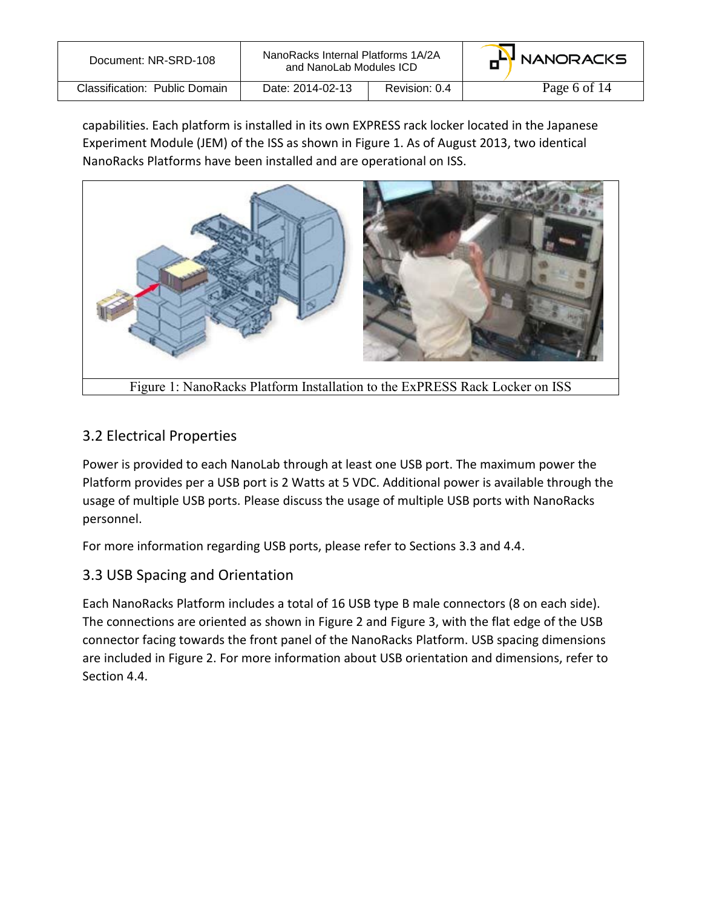| Document: NR-SRD-108          | NanoRacks Internal Platforms 1A/2A<br>and NanoLab Modules ICD |               | G <sup>LY</sup> NANORACKS |
|-------------------------------|---------------------------------------------------------------|---------------|---------------------------|
| Classification: Public Domain | Date: 2014-02-13                                              | Revision: 0.4 | Page 6 of 14              |

capabilities. Each platform is installed in its own EXPRESS rack locker located in the Japanese Experiment Module (JEM) of the ISS as shown in Figure 1. As of August 2013, two identical NanoRacks Platforms have been installed and are operational on ISS.



## 3.2 Electrical Properties

Power is provided to each NanoLab through at least one USB port. The maximum power the Platform provides per a USB port is 2 Watts at 5 VDC. Additional power is available through the usage of multiple USB ports. Please discuss the usage of multiple USB ports with NanoRacks personnel.

For more information regarding USB ports, please refer to Sections 3.3 and 4.4.

#### 3.3 USB Spacing and Orientation

Each NanoRacks Platform includes a total of 16 USB type B male connectors (8 on each side). The connections are oriented as shown in Figure 2 and Figure 3, with the flat edge of the USB connector facing towards the front panel of the NanoRacks Platform. USB spacing dimensions are included in Figure 2. For more information about USB orientation and dimensions, refer to Section 4.4.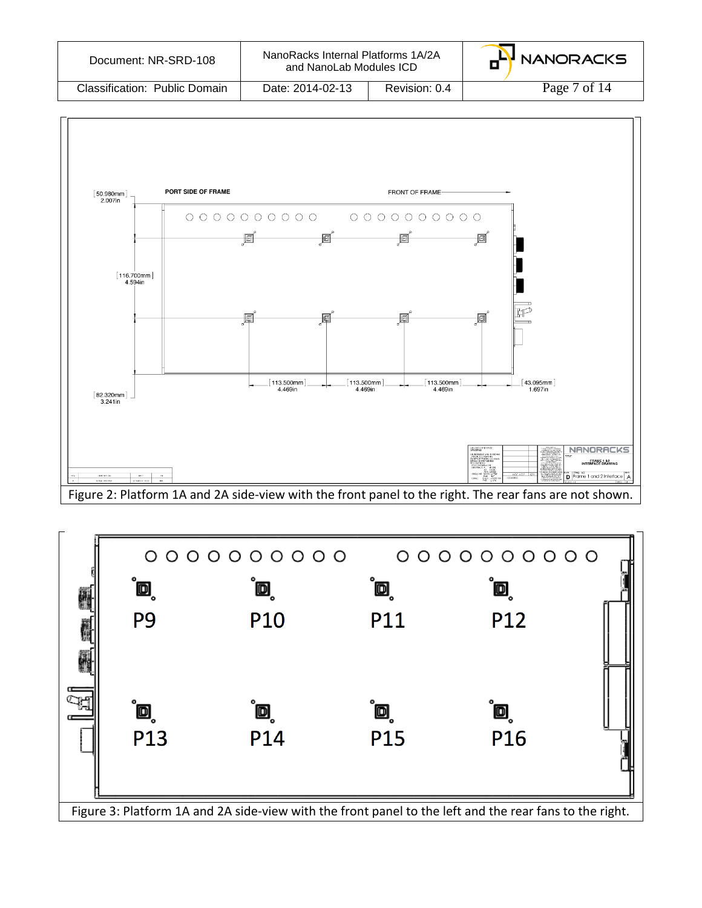| Document: NR-SRD-108          | NanoRacks Internal Platforms 1A/2A<br>and NanoLab Modules ICD |               | HH NANORACKS |
|-------------------------------|---------------------------------------------------------------|---------------|--------------|
| Classification: Public Domain | Date: 2014-02-13                                              | Revision: 0.4 | Page 7 of 14 |



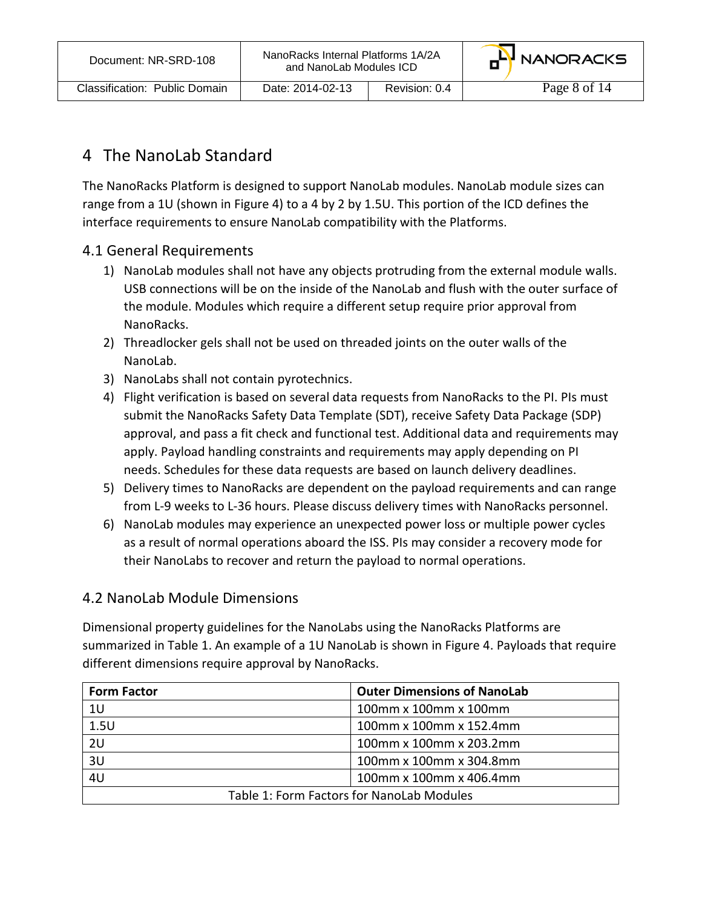## 4 The NanoLab Standard

The NanoRacks Platform is designed to support NanoLab modules. NanoLab module sizes can range from a 1U (shown in Figure 4) to a 4 by 2 by 1.5U. This portion of the ICD defines the interface requirements to ensure NanoLab compatibility with the Platforms.

#### 4.1 General Requirements

- 1) NanoLab modules shall not have any objects protruding from the external module walls. USB connections will be on the inside of the NanoLab and flush with the outer surface of the module. Modules which require a different setup require prior approval from NanoRacks.
- 2) Threadlocker gels shall not be used on threaded joints on the outer walls of the NanoLab.
- 3) NanoLabs shall not contain pyrotechnics.
- 4) Flight verification is based on several data requests from NanoRacks to the PI. PIs must submit the NanoRacks Safety Data Template (SDT), receive Safety Data Package (SDP) approval, and pass a fit check and functional test. Additional data and requirements may apply. Payload handling constraints and requirements may apply depending on PI needs. Schedules for these data requests are based on launch delivery deadlines.
- 5) Delivery times to NanoRacks are dependent on the payload requirements and can range from L-9 weeks to L-36 hours. Please discuss delivery times with NanoRacks personnel.
- 6) NanoLab modules may experience an unexpected power loss or multiple power cycles as a result of normal operations aboard the ISS. PIs may consider a recovery mode for their NanoLabs to recover and return the payload to normal operations.

#### 4.2 NanoLab Module Dimensions

Dimensional property guidelines for the NanoLabs using the NanoRacks Platforms are summarized in Table 1. An example of a 1U NanoLab is shown in Figure 4. Payloads that require different dimensions require approval by NanoRacks.

| <b>Form Factor</b>                        | <b>Outer Dimensions of NanoLab</b> |
|-------------------------------------------|------------------------------------|
| 1U                                        | 100mm x 100mm x 100mm              |
| 1.5U                                      | 100mm x 100mm x 152.4mm            |
| 2U                                        | 100mm x 100mm x 203.2mm            |
| 3U                                        | 100mm x 100mm x 304.8mm            |
| 4U                                        | 100mm x 100mm x 406.4mm            |
| Table 1: Form Factors for NanoLab Modules |                                    |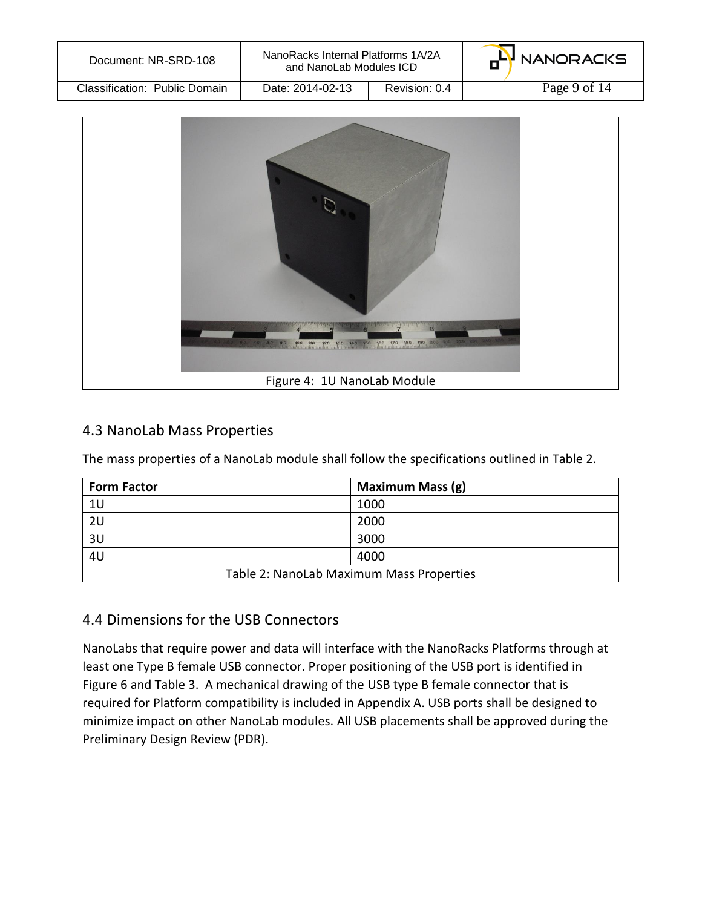| Document: NR-SRD-108          | NanoRacks Internal Platforms 1A/2A<br>and NanoLab Modules ICD |               | G <sup>LY</sup> NANORACKS |
|-------------------------------|---------------------------------------------------------------|---------------|---------------------------|
| Classification: Public Domain | Date: 2014-02-13                                              | Revision: 0.4 | Page 9 of 14              |



#### 4.3 NanoLab Mass Properties

The mass properties of a NanoLab module shall follow the specifications outlined in Table 2.

| <b>Form Factor</b>                       | Maximum Mass (g) |  |
|------------------------------------------|------------------|--|
| 1U                                       | 1000             |  |
| 2U                                       | 2000             |  |
| 3U<br>3000                               |                  |  |
| 4U                                       | 4000             |  |
| Table 2: NanoLab Maximum Mass Properties |                  |  |

#### 4.4 Dimensions for the USB Connectors

NanoLabs that require power and data will interface with the NanoRacks Platforms through at least one Type B female USB connector. Proper positioning of the USB port is identified in Figure 6 and Table 3. A mechanical drawing of the USB type B female connector that is required for Platform compatibility is included in Appendix A. USB ports shall be designed to minimize impact on other NanoLab modules. All USB placements shall be approved during the Preliminary Design Review (PDR).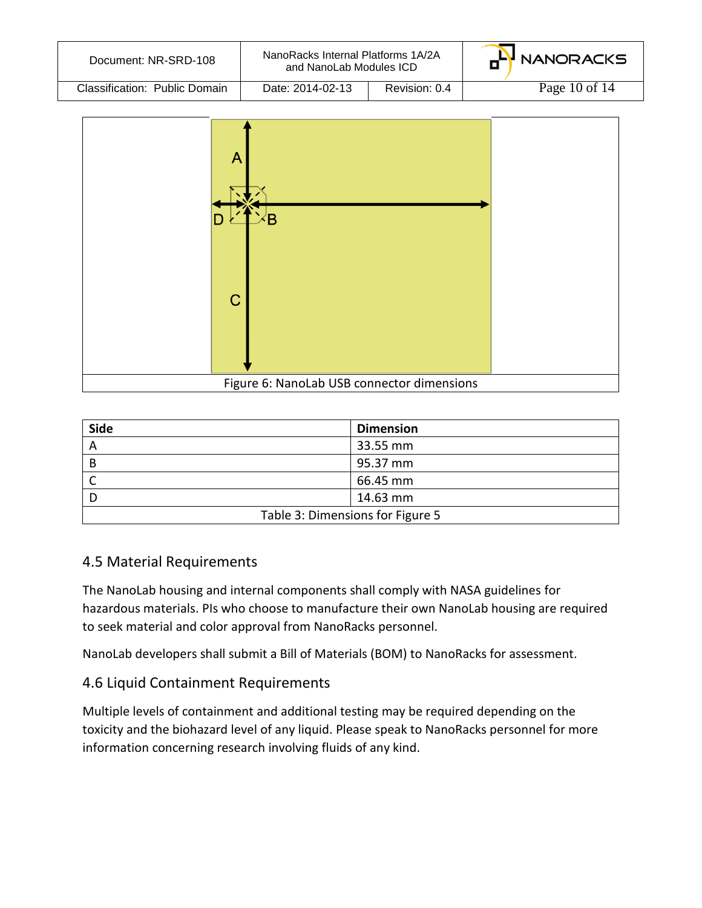| Document: NR-SRD-108          | NanoRacks Internal Platforms 1A/2A<br>and NanoLab Modules ICD |               | <b>HH</b> NANORACKS |
|-------------------------------|---------------------------------------------------------------|---------------|---------------------|
| Classification: Public Domain | Date: 2014-02-13                                              | Revision: 0.4 | Page 10 of $14$     |



| <b>Side</b>                      | <b>Dimension</b> |  |
|----------------------------------|------------------|--|
| A                                | 33.55 mm         |  |
| B                                | 95.37 mm         |  |
|                                  | 66.45 mm         |  |
|                                  | 14.63 mm         |  |
| Table 3: Dimensions for Figure 5 |                  |  |

#### 4.5 Material Requirements

The NanoLab housing and internal components shall comply with NASA guidelines for hazardous materials. PIs who choose to manufacture their own NanoLab housing are required to seek material and color approval from NanoRacks personnel.

NanoLab developers shall submit a Bill of Materials (BOM) to NanoRacks for assessment.

#### 4.6 Liquid Containment Requirements

Multiple levels of containment and additional testing may be required depending on the toxicity and the biohazard level of any liquid. Please speak to NanoRacks personnel for more information concerning research involving fluids of any kind.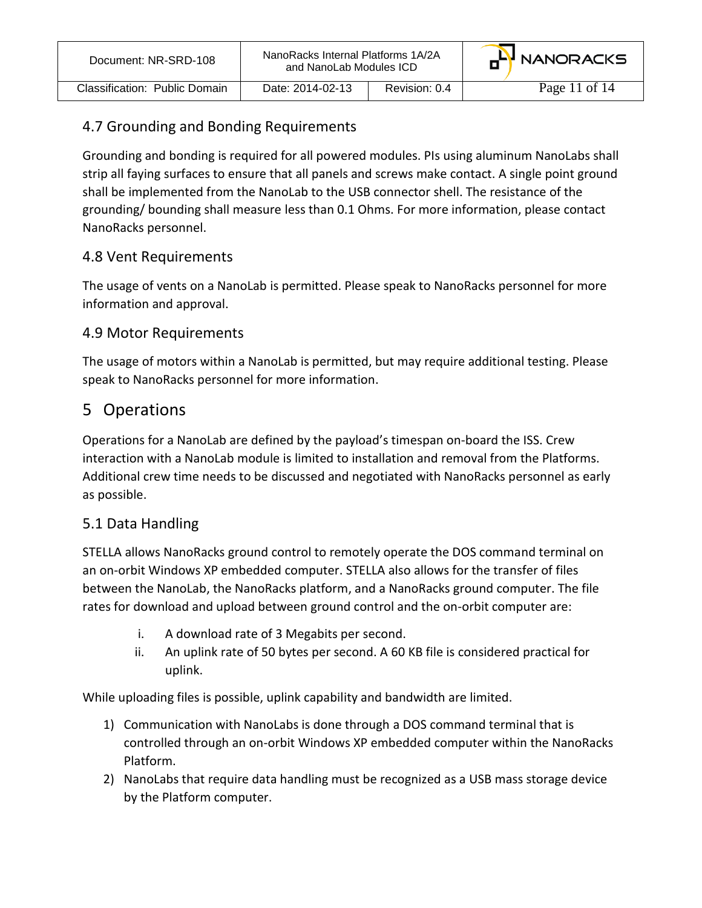| Document: NR-SRD-108          | NanoRacks Internal Platforms 1A/2A<br>and NanoLab Modules ICD |               | G <sup>LY</sup> NANORACKS |
|-------------------------------|---------------------------------------------------------------|---------------|---------------------------|
| Classification: Public Domain | Date: 2014-02-13                                              | Revision: 0.4 | Page 11 of $14$           |

#### 4.7 Grounding and Bonding Requirements

Grounding and bonding is required for all powered modules. PIs using aluminum NanoLabs shall strip all faying surfaces to ensure that all panels and screws make contact. A single point ground shall be implemented from the NanoLab to the USB connector shell. The resistance of the grounding/ bounding shall measure less than 0.1 Ohms. For more information, please contact NanoRacks personnel.

#### 4.8 Vent Requirements

The usage of vents on a NanoLab is permitted. Please speak to NanoRacks personnel for more information and approval.

#### 4.9 Motor Requirements

The usage of motors within a NanoLab is permitted, but may require additional testing. Please speak to NanoRacks personnel for more information.

## 5 Operations

Operations for a NanoLab are defined by the payload's timespan on-board the ISS. Crew interaction with a NanoLab module is limited to installation and removal from the Platforms. Additional crew time needs to be discussed and negotiated with NanoRacks personnel as early as possible.

#### 5.1 Data Handling

STELLA allows NanoRacks ground control to remotely operate the DOS command terminal on an on-orbit Windows XP embedded computer. STELLA also allows for the transfer of files between the NanoLab, the NanoRacks platform, and a NanoRacks ground computer. The file rates for download and upload between ground control and the on-orbit computer are:

- i. A download rate of 3 Megabits per second.
- ii. An uplink rate of 50 bytes per second. A 60 KB file is considered practical for uplink.

While uploading files is possible, uplink capability and bandwidth are limited.

- 1) Communication with NanoLabs is done through a DOS command terminal that is controlled through an on-orbit Windows XP embedded computer within the NanoRacks Platform.
- 2) NanoLabs that require data handling must be recognized as a USB mass storage device by the Platform computer.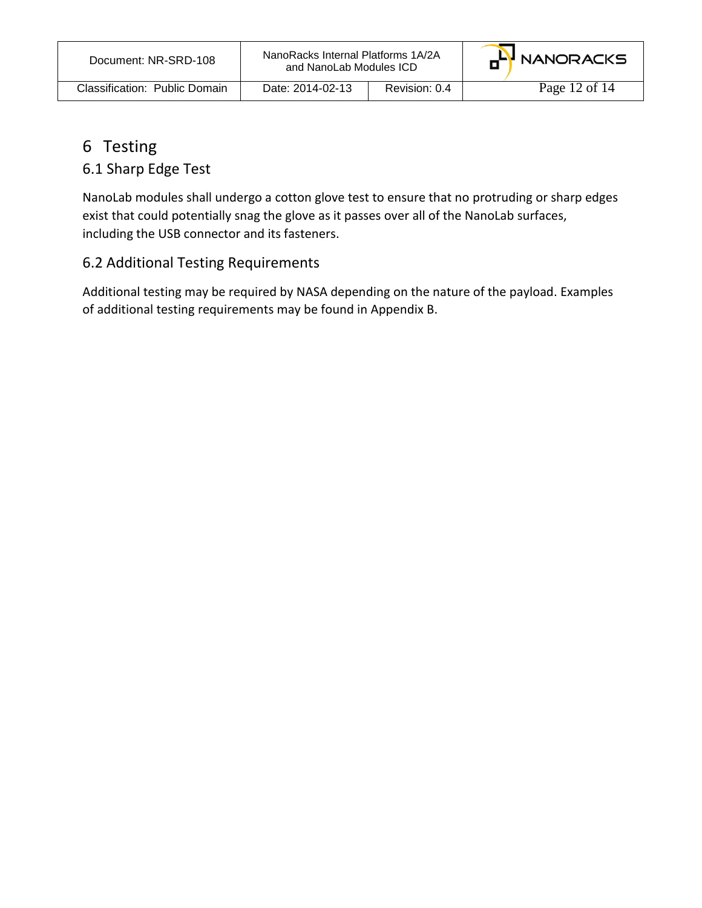| Document: NR-SRD-108          | NanoRacks Internal Platforms 1A/2A<br>and NanoLab Modules ICD |               | HH NANORACKS  |
|-------------------------------|---------------------------------------------------------------|---------------|---------------|
| Classification: Public Domain | Date: 2014-02-13                                              | Revision: 0.4 | Page 12 of 14 |

## 6 Testing

### 6.1 Sharp Edge Test

NanoLab modules shall undergo a cotton glove test to ensure that no protruding or sharp edges exist that could potentially snag the glove as it passes over all of the NanoLab surfaces, including the USB connector and its fasteners.

#### 6.2 Additional Testing Requirements

Additional testing may be required by NASA depending on the nature of the payload. Examples of additional testing requirements may be found in Appendix B.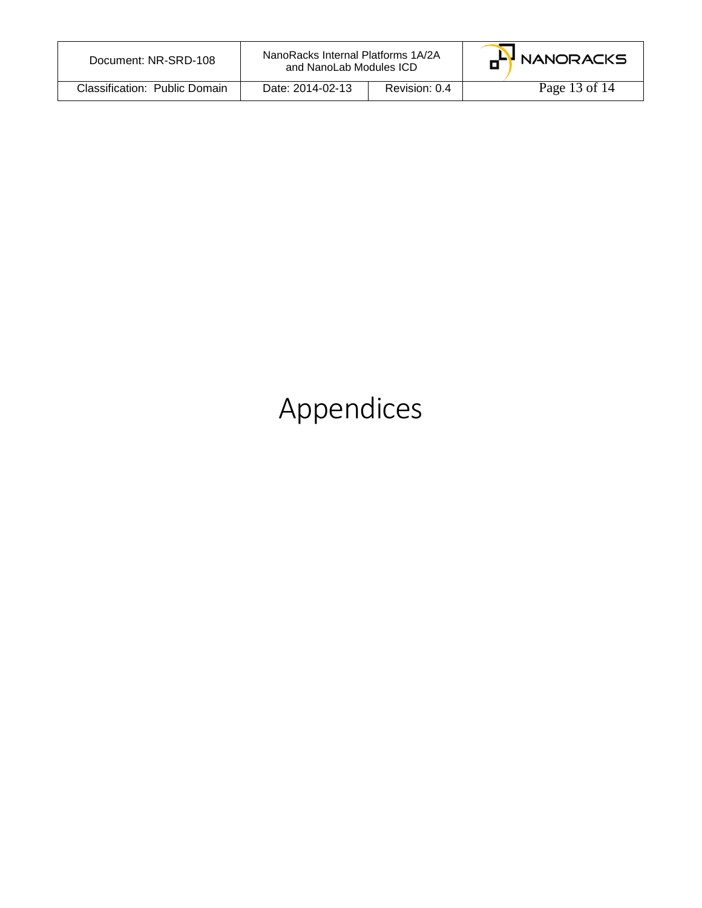| Document: NR-SRD-108          | NanoRacks Internal Platforms 1A/2A<br>and NanoLab Modules ICD |               | HH NANORACKS  |
|-------------------------------|---------------------------------------------------------------|---------------|---------------|
| Classification: Public Domain | Date: 2014-02-13                                              | Revision: 0.4 | Page 13 of 14 |

# Appendices